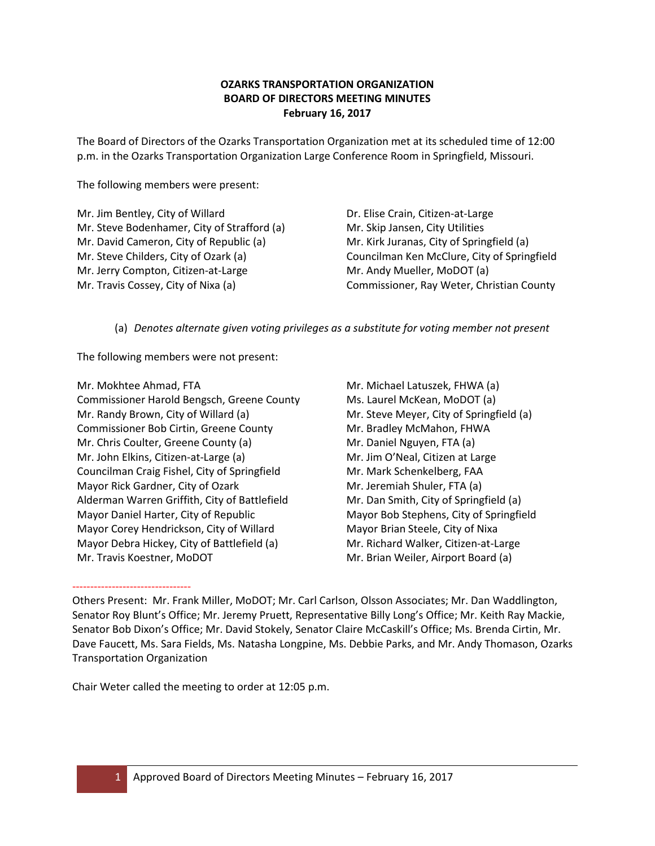# **OZARKS TRANSPORTATION ORGANIZATION BOARD OF DIRECTORS MEETING MINUTES February 16, 2017**

The Board of Directors of the Ozarks Transportation Organization met at its scheduled time of 12:00 p.m. in the Ozarks Transportation Organization Large Conference Room in Springfield, Missouri.

The following members were present:

Mr. Jim Bentley, City of Willard Mr. Steve Bodenhamer, City of Strafford (a) Mr. David Cameron, City of Republic (a) Mr. Steve Childers, City of Ozark (a) Mr. Jerry Compton, Citizen-at-Large Mr. Travis Cossey, City of Nixa (a)

Dr. Elise Crain, Citizen-at-Large Mr. Skip Jansen, City Utilities Mr. Kirk Juranas, City of Springfield (a) Councilman Ken McClure, City of Springfield Mr. Andy Mueller, MoDOT (a) Commissioner, Ray Weter, Christian County

(a) *Denotes alternate given voting privileges as a substitute for voting member not present*

The following members were not present:

Mr. Mokhtee Ahmad, FTA Commissioner Harold Bengsch, Greene County Mr. Randy Brown, City of Willard (a) Commissioner Bob Cirtin, Greene County Mr. Chris Coulter, Greene County (a) Mr. John Elkins, Citizen-at-Large (a) Councilman Craig Fishel, City of Springfield Mayor Rick Gardner, City of Ozark Alderman Warren Griffith, City of Battlefield Mayor Daniel Harter, City of Republic Mayor Corey Hendrickson, City of Willard Mayor Debra Hickey, City of Battlefield (a) Mr. Travis Koestner, MoDOT

Mr. Michael Latuszek, FHWA (a) Ms. Laurel McKean, MoDOT (a) Mr. Steve Meyer, City of Springfield (a) Mr. Bradley McMahon, FHWA Mr. Daniel Nguyen, FTA (a) Mr. Jim O'Neal, Citizen at Large Mr. Mark Schenkelberg, FAA Mr. Jeremiah Shuler, FTA (a) Mr. Dan Smith, City of Springfield (a) Mayor Bob Stephens, City of Springfield Mayor Brian Steele, City of Nixa Mr. Richard Walker, Citizen-at-Large Mr. Brian Weiler, Airport Board (a)

--------------------------------- Others Present: Mr. Frank Miller, MoDOT; Mr. Carl Carlson, Olsson Associates; Mr. Dan Waddlington, Senator Roy Blunt's Office; Mr. Jeremy Pruett, Representative Billy Long's Office; Mr. Keith Ray Mackie, Senator Bob Dixon's Office; Mr. David Stokely, Senator Claire McCaskill's Office; Ms. Brenda Cirtin, Mr. Dave Faucett, Ms. Sara Fields, Ms. Natasha Longpine, Ms. Debbie Parks, and Mr. Andy Thomason, Ozarks Transportation Organization

Chair Weter called the meeting to order at 12:05 p.m.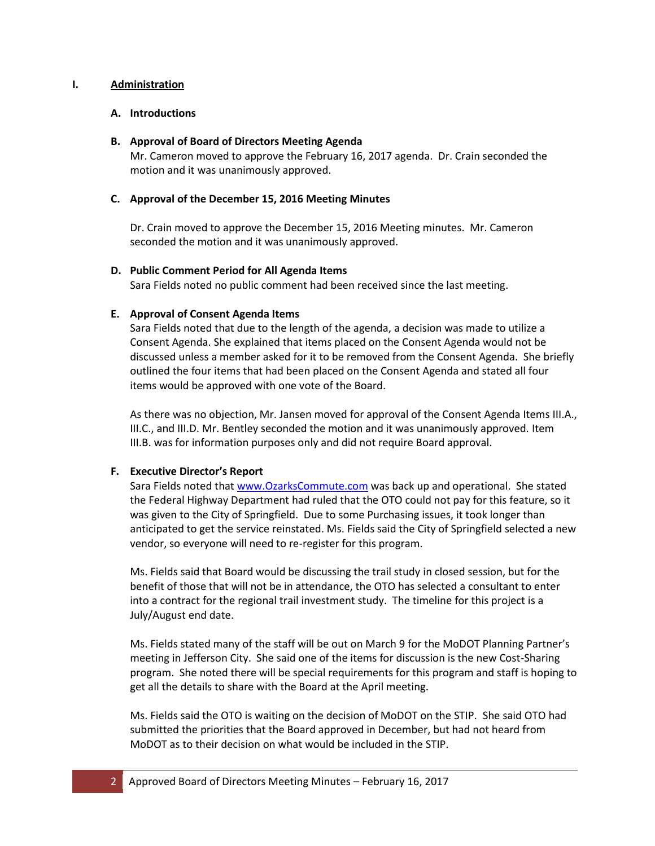## **I. Administration**

## **A. Introductions**

#### **B. Approval of Board of Directors Meeting Agenda**

Mr. Cameron moved to approve the February 16, 2017 agenda. Dr. Crain seconded the motion and it was unanimously approved.

## **C. Approval of the December 15, 2016 Meeting Minutes**

Dr. Crain moved to approve the December 15, 2016 Meeting minutes. Mr. Cameron seconded the motion and it was unanimously approved.

## **D. Public Comment Period for All Agenda Items**

Sara Fields noted no public comment had been received since the last meeting.

## **E. Approval of Consent Agenda Items**

Sara Fields noted that due to the length of the agenda, a decision was made to utilize a Consent Agenda. She explained that items placed on the Consent Agenda would not be discussed unless a member asked for it to be removed from the Consent Agenda. She briefly outlined the four items that had been placed on the Consent Agenda and stated all four items would be approved with one vote of the Board.

As there was no objection, Mr. Jansen moved for approval of the Consent Agenda Items III.A., III.C., and III.D. Mr. Bentley seconded the motion and it was unanimously approved. Item III.B. was for information purposes only and did not require Board approval.

## **F. Executive Director's Report**

Sara Fields noted tha[t www.OzarksCommute.com](http://www.ozarkscommute.com/) was back up and operational. She stated the Federal Highway Department had ruled that the OTO could not pay for this feature, so it was given to the City of Springfield. Due to some Purchasing issues, it took longer than anticipated to get the service reinstated. Ms. Fields said the City of Springfield selected a new vendor, so everyone will need to re-register for this program.

Ms. Fields said that Board would be discussing the trail study in closed session, but for the benefit of those that will not be in attendance, the OTO has selected a consultant to enter into a contract for the regional trail investment study. The timeline for this project is a July/August end date.

Ms. Fields stated many of the staff will be out on March 9 for the MoDOT Planning Partner's meeting in Jefferson City. She said one of the items for discussion is the new Cost-Sharing program. She noted there will be special requirements for this program and staff is hoping to get all the details to share with the Board at the April meeting.

Ms. Fields said the OTO is waiting on the decision of MoDOT on the STIP. She said OTO had submitted the priorities that the Board approved in December, but had not heard from MoDOT as to their decision on what would be included in the STIP.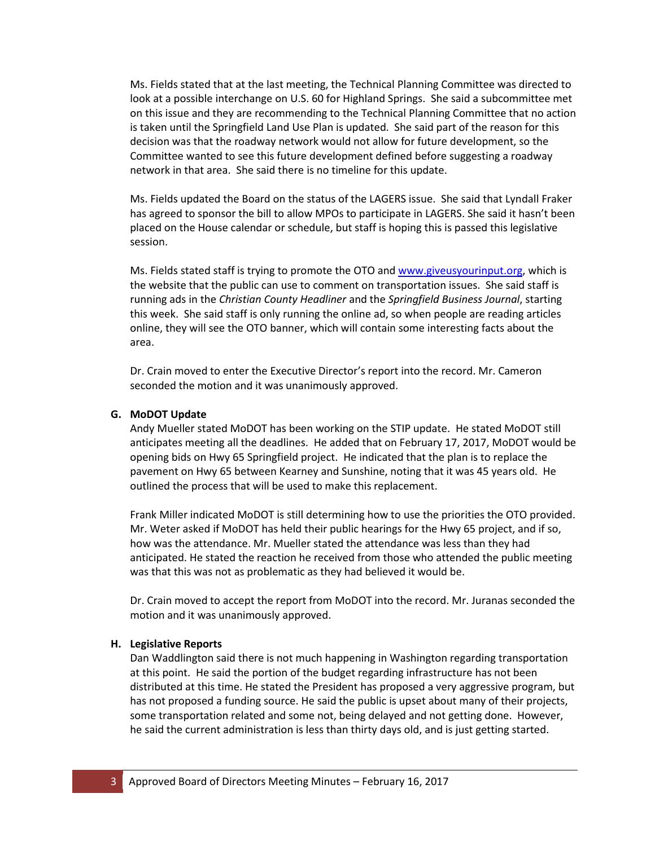Ms. Fields stated that at the last meeting, the Technical Planning Committee was directed to look at a possible interchange on U.S. 60 for Highland Springs. She said a subcommittee met on this issue and they are recommending to the Technical Planning Committee that no action is taken until the Springfield Land Use Plan is updated. She said part of the reason for this decision was that the roadway network would not allow for future development, so the Committee wanted to see this future development defined before suggesting a roadway network in that area. She said there is no timeline for this update.

Ms. Fields updated the Board on the status of the LAGERS issue. She said that Lyndall Fraker has agreed to sponsor the bill to allow MPOs to participate in LAGERS. She said it hasn't been placed on the House calendar or schedule, but staff is hoping this is passed this legislative session.

Ms. Fields stated staff is trying to promote the OTO and [www.giveusyourinput.org,](http://www.giveusyourinput.org/) which is the website that the public can use to comment on transportation issues. She said staff is running ads in the *Christian County Headliner* and the *Springfield Business Journal*, starting this week. She said staff is only running the online ad, so when people are reading articles online, they will see the OTO banner, which will contain some interesting facts about the area.

Dr. Crain moved to enter the Executive Director's report into the record. Mr. Cameron seconded the motion and it was unanimously approved.

## **G. MoDOT Update**

Andy Mueller stated MoDOT has been working on the STIP update. He stated MoDOT still anticipates meeting all the deadlines. He added that on February 17, 2017, MoDOT would be opening bids on Hwy 65 Springfield project. He indicated that the plan is to replace the pavement on Hwy 65 between Kearney and Sunshine, noting that it was 45 years old. He outlined the process that will be used to make this replacement.

Frank Miller indicated MoDOT is still determining how to use the priorities the OTO provided. Mr. Weter asked if MoDOT has held their public hearings for the Hwy 65 project, and if so, how was the attendance. Mr. Mueller stated the attendance was less than they had anticipated. He stated the reaction he received from those who attended the public meeting was that this was not as problematic as they had believed it would be.

Dr. Crain moved to accept the report from MoDOT into the record. Mr. Juranas seconded the motion and it was unanimously approved.

#### **H. Legislative Reports**

Dan Waddlington said there is not much happening in Washington regarding transportation at this point. He said the portion of the budget regarding infrastructure has not been distributed at this time. He stated the President has proposed a very aggressive program, but has not proposed a funding source. He said the public is upset about many of their projects, some transportation related and some not, being delayed and not getting done. However, he said the current administration is less than thirty days old, and is just getting started.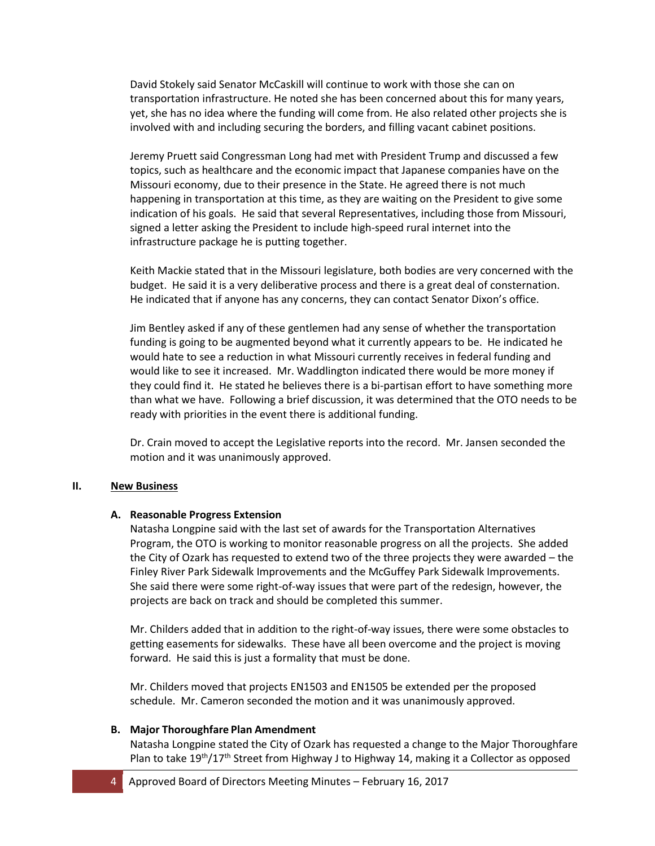David Stokely said Senator McCaskill will continue to work with those she can on transportation infrastructure. He noted she has been concerned about this for many years, yet, she has no idea where the funding will come from. He also related other projects she is involved with and including securing the borders, and filling vacant cabinet positions.

Jeremy Pruett said Congressman Long had met with President Trump and discussed a few topics, such as healthcare and the economic impact that Japanese companies have on the Missouri economy, due to their presence in the State. He agreed there is not much happening in transportation at this time, as they are waiting on the President to give some indication of his goals. He said that several Representatives, including those from Missouri, signed a letter asking the President to include high-speed rural internet into the infrastructure package he is putting together.

Keith Mackie stated that in the Missouri legislature, both bodies are very concerned with the budget. He said it is a very deliberative process and there is a great deal of consternation. He indicated that if anyone has any concerns, they can contact Senator Dixon's office.

Jim Bentley asked if any of these gentlemen had any sense of whether the transportation funding is going to be augmented beyond what it currently appears to be. He indicated he would hate to see a reduction in what Missouri currently receives in federal funding and would like to see it increased. Mr. Waddlington indicated there would be more money if they could find it. He stated he believes there is a bi-partisan effort to have something more than what we have. Following a brief discussion, it was determined that the OTO needs to be ready with priorities in the event there is additional funding.

Dr. Crain moved to accept the Legislative reports into the record. Mr. Jansen seconded the motion and it was unanimously approved.

#### **II. New Business**

## **A. Reasonable Progress Extension**

Natasha Longpine said with the last set of awards for the Transportation Alternatives Program, the OTO is working to monitor reasonable progress on all the projects. She added the City of Ozark has requested to extend two of the three projects they were awarded – the Finley River Park Sidewalk Improvements and the McGuffey Park Sidewalk Improvements. She said there were some right-of-way issues that were part of the redesign, however, the projects are back on track and should be completed this summer.

Mr. Childers added that in addition to the right-of-way issues, there were some obstacles to getting easements for sidewalks. These have all been overcome and the project is moving forward. He said this is just a formality that must be done.

Mr. Childers moved that projects EN1503 and EN1505 be extended per the proposed schedule. Mr. Cameron seconded the motion and it was unanimously approved.

#### **B. Major Thoroughfare Plan Amendment**

Natasha Longpine stated the City of Ozark has requested a change to the Major Thoroughfare Plan to take  $19^{th}/17^{th}$  Street from Highway J to Highway 14, making it a Collector as opposed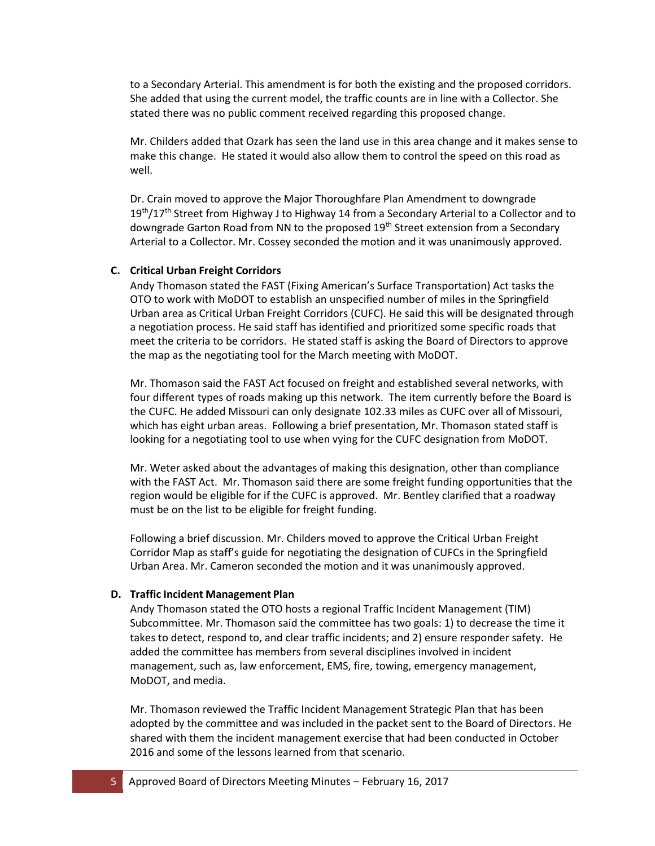to a Secondary Arterial. This amendment is for both the existing and the proposed corridors. She added that using the current model, the traffic counts are in line with a Collector. She stated there was no public comment received regarding this proposed change.

Mr. Childers added that Ozark has seen the land use in this area change and it makes sense to make this change. He stated it would also allow them to control the speed on this road as well.

Dr. Crain moved to approve the Major Thoroughfare Plan Amendment to downgrade  $19<sup>th</sup>/17<sup>th</sup>$  Street from Highway J to Highway 14 from a Secondary Arterial to a Collector and to downgrade Garton Road from NN to the proposed 19<sup>th</sup> Street extension from a Secondary Arterial to a Collector. Mr. Cossey seconded the motion and it was unanimously approved.

#### **C. Critical Urban Freight Corridors**

Andy Thomason stated the FAST (Fixing American's Surface Transportation) Act tasks the OTO to work with MoDOT to establish an unspecified number of miles in the Springfield Urban area as Critical Urban Freight Corridors (CUFC). He said this will be designated through a negotiation process. He said staff has identified and prioritized some specific roads that meet the criteria to be corridors. He stated staff is asking the Board of Directors to approve the map as the negotiating tool for the March meeting with MoDOT.

Mr. Thomason said the FAST Act focused on freight and established several networks, with four different types of roads making up this network. The item currently before the Board is the CUFC. He added Missouri can only designate 102.33 miles as CUFC over all of Missouri, which has eight urban areas. Following a brief presentation, Mr. Thomason stated staff is looking for a negotiating tool to use when vying for the CUFC designation from MoDOT.

Mr. Weter asked about the advantages of making this designation, other than compliance with the FAST Act. Mr. Thomason said there are some freight funding opportunities that the region would be eligible for if the CUFC is approved. Mr. Bentley clarified that a roadway must be on the list to be eligible for freight funding.

Following a brief discussion. Mr. Childers moved to approve the Critical Urban Freight Corridor Map as staff's guide for negotiating the designation of CUFCs in the Springfield Urban Area. Mr. Cameron seconded the motion and it was unanimously approved.

#### **D. Traffic Incident Management Plan**

Andy Thomason stated the OTO hosts a regional Traffic Incident Management (TIM) Subcommittee. Mr. Thomason said the committee has two goals: 1) to decrease the time it takes to detect, respond to, and clear traffic incidents; and 2) ensure responder safety. He added the committee has members from several disciplines involved in incident management, such as, law enforcement, EMS, fire, towing, emergency management, MoDOT, and media.

Mr. Thomason reviewed the Traffic Incident Management Strategic Plan that has been adopted by the committee and was included in the packet sent to the Board of Directors. He shared with them the incident management exercise that had been conducted in October 2016 and some of the lessons learned from that scenario.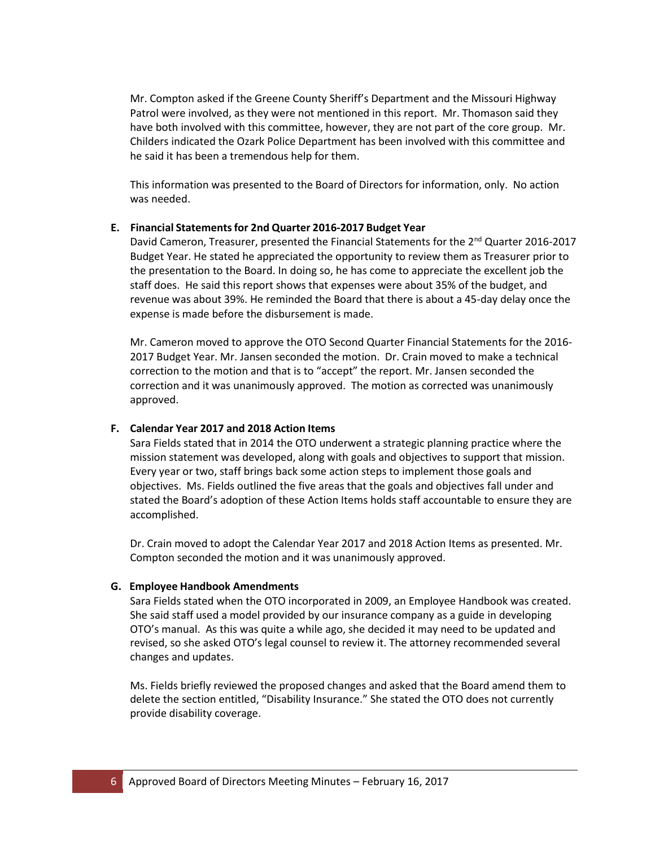Mr. Compton asked if the Greene County Sheriff's Department and the Missouri Highway Patrol were involved, as they were not mentioned in this report. Mr. Thomason said they have both involved with this committee, however, they are not part of the core group. Mr. Childers indicated the Ozark Police Department has been involved with this committee and he said it has been a tremendous help for them.

This information was presented to the Board of Directors for information, only. No action was needed.

#### **E. Financial Statementsfor 2nd Quarter 2016‐2017 Budget Year**

David Cameron, Treasurer, presented the Financial Statements for the  $2^{nd}$  Quarter 2016-2017 Budget Year. He stated he appreciated the opportunity to review them as Treasurer prior to the presentation to the Board. In doing so, he has come to appreciate the excellent job the staff does. He said this report shows that expenses were about 35% of the budget, and revenue was about 39%. He reminded the Board that there is about a 45-day delay once the expense is made before the disbursement is made.

Mr. Cameron moved to approve the OTO Second Quarter Financial Statements for the 2016- 2017 Budget Year. Mr. Jansen seconded the motion. Dr. Crain moved to make a technical correction to the motion and that is to "accept" the report. Mr. Jansen seconded the correction and it was unanimously approved. The motion as corrected was unanimously approved.

## **F. Calendar Year 2017 and 2018 Action Items**

Sara Fields stated that in 2014 the OTO underwent a strategic planning practice where the mission statement was developed, along with goals and objectives to support that mission. Every year or two, staff brings back some action steps to implement those goals and objectives. Ms. Fields outlined the five areas that the goals and objectives fall under and stated the Board's adoption of these Action Items holds staff accountable to ensure they are accomplished.

Dr. Crain moved to adopt the Calendar Year 2017 and 2018 Action Items as presented. Mr. Compton seconded the motion and it was unanimously approved.

#### **G. Employee Handbook Amendments**

Sara Fields stated when the OTO incorporated in 2009, an Employee Handbook was created. She said staff used a model provided by our insurance company as a guide in developing OTO's manual. As this was quite a while ago, she decided it may need to be updated and revised, so she asked OTO's legal counsel to review it. The attorney recommended several changes and updates.

Ms. Fields briefly reviewed the proposed changes and asked that the Board amend them to delete the section entitled, "Disability Insurance." She stated the OTO does not currently provide disability coverage.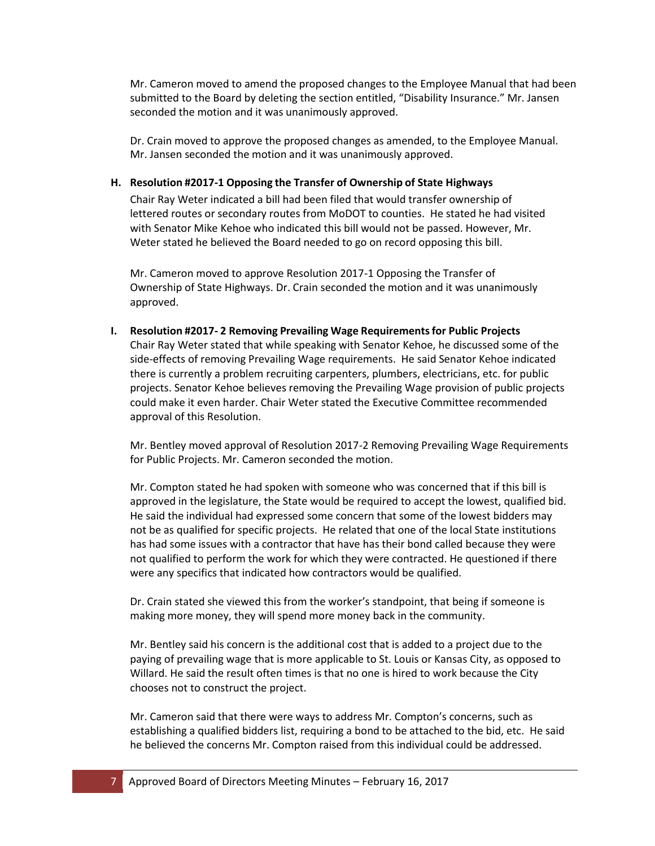Mr. Cameron moved to amend the proposed changes to the Employee Manual that had been submitted to the Board by deleting the section entitled, "Disability Insurance." Mr. Jansen seconded the motion and it was unanimously approved.

Dr. Crain moved to approve the proposed changes as amended, to the Employee Manual. Mr. Jansen seconded the motion and it was unanimously approved.

## **H. Resolution #2017‐1 Opposing the Transfer of Ownership of State Highways**

Chair Ray Weter indicated a bill had been filed that would transfer ownership of lettered routes or secondary routes from MoDOT to counties. He stated he had visited with Senator Mike Kehoe who indicated this bill would not be passed. However, Mr. Weter stated he believed the Board needed to go on record opposing this bill.

Mr. Cameron moved to approve Resolution 2017-1 Opposing the Transfer of Ownership of State Highways. Dr. Crain seconded the motion and it was unanimously approved.

**I. Resolution #2017‐ 2 Removing Prevailing Wage Requirementsfor Public Projects** Chair Ray Weter stated that while speaking with Senator Kehoe, he discussed some of the side-effects of removing Prevailing Wage requirements. He said Senator Kehoe indicated there is currently a problem recruiting carpenters, plumbers, electricians, etc. for public projects. Senator Kehoe believes removing the Prevailing Wage provision of public projects could make it even harder. Chair Weter stated the Executive Committee recommended approval of this Resolution.

Mr. Bentley moved approval of Resolution 2017-2 Removing Prevailing Wage Requirements for Public Projects. Mr. Cameron seconded the motion.

Mr. Compton stated he had spoken with someone who was concerned that if this bill is approved in the legislature, the State would be required to accept the lowest, qualified bid. He said the individual had expressed some concern that some of the lowest bidders may not be as qualified for specific projects. He related that one of the local State institutions has had some issues with a contractor that have has their bond called because they were not qualified to perform the work for which they were contracted. He questioned if there were any specifics that indicated how contractors would be qualified.

Dr. Crain stated she viewed this from the worker's standpoint, that being if someone is making more money, they will spend more money back in the community.

Mr. Bentley said his concern is the additional cost that is added to a project due to the paying of prevailing wage that is more applicable to St. Louis or Kansas City, as opposed to Willard. He said the result often times is that no one is hired to work because the City chooses not to construct the project.

Mr. Cameron said that there were ways to address Mr. Compton's concerns, such as establishing a qualified bidders list, requiring a bond to be attached to the bid, etc. He said he believed the concerns Mr. Compton raised from this individual could be addressed.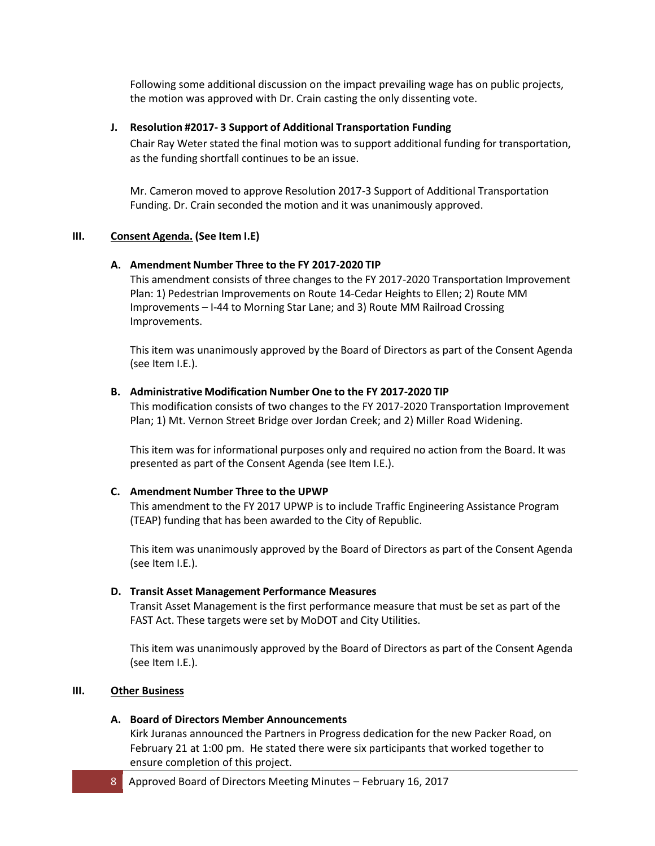Following some additional discussion on the impact prevailing wage has on public projects, the motion was approved with Dr. Crain casting the only dissenting vote.

## **J. Resolution #2017‐ 3 Support of Additional Transportation Funding**

Chair Ray Weter stated the final motion was to support additional funding for transportation, as the funding shortfall continues to be an issue.

Mr. Cameron moved to approve Resolution 2017-3 Support of Additional Transportation Funding. Dr. Crain seconded the motion and it was unanimously approved.

## **III. Consent Agenda. (See Item I.E)**

## **A. Amendment Number Three to the FY 2017‐2020 TIP**

This amendment consists of three changes to the FY 2017-2020 Transportation Improvement Plan: 1) Pedestrian Improvements on Route 14-Cedar Heights to Ellen; 2) Route MM Improvements – I-44 to Morning Star Lane; and 3) Route MM Railroad Crossing Improvements.

This item was unanimously approved by the Board of Directors as part of the Consent Agenda (see Item I.E.).

## **B. Administrative Modification Number One to the FY 2017‐2020 TIP**

This modification consists of two changes to the FY 2017-2020 Transportation Improvement Plan; 1) Mt. Vernon Street Bridge over Jordan Creek; and 2) Miller Road Widening.

This item was for informational purposes only and required no action from the Board. It was presented as part of the Consent Agenda (see Item I.E.).

#### **C. Amendment Number Three to the UPWP**

This amendment to the FY 2017 UPWP is to include Traffic Engineering Assistance Program (TEAP) funding that has been awarded to the City of Republic.

This item was unanimously approved by the Board of Directors as part of the Consent Agenda (see Item I.E.).

#### **D. Transit Asset Management Performance Measures**

Transit Asset Management is the first performance measure that must be set as part of the FAST Act. These targets were set by MoDOT and City Utilities.

This item was unanimously approved by the Board of Directors as part of the Consent Agenda (see Item I.E.).

#### **III. Other Business**

## **A. Board of Directors Member Announcements**

Kirk Juranas announced the Partners in Progress dedication for the new Packer Road, on February 21 at 1:00 pm. He stated there were six participants that worked together to ensure completion of this project.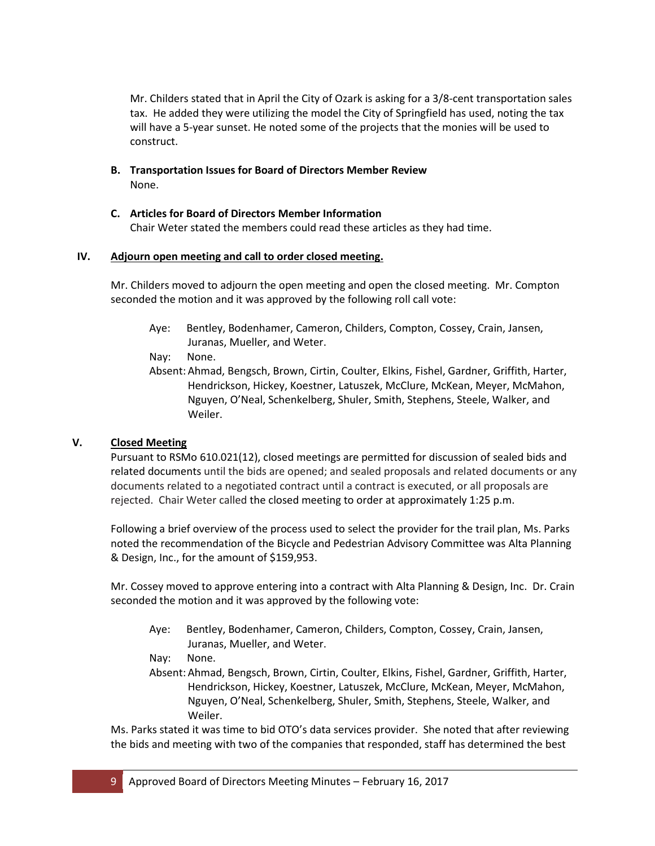Mr. Childers stated that in April the City of Ozark is asking for a 3/8-cent transportation sales tax. He added they were utilizing the model the City of Springfield has used, noting the tax will have a 5-year sunset. He noted some of the projects that the monies will be used to construct.

- **B. Transportation Issues for Board of Directors Member Review** None.
- **C. Articles for Board of Directors Member Information** Chair Weter stated the members could read these articles as they had time.

## **IV. Adjourn open meeting and call to order closed meeting.**

Mr. Childers moved to adjourn the open meeting and open the closed meeting. Mr. Compton seconded the motion and it was approved by the following roll call vote:

- Aye: Bentley, Bodenhamer, Cameron, Childers, Compton, Cossey, Crain, Jansen, Juranas, Mueller, and Weter.
- Nay: None.
- Absent: Ahmad, Bengsch, Brown, Cirtin, Coulter, Elkins, Fishel, Gardner, Griffith, Harter, Hendrickson, Hickey, Koestner, Latuszek, McClure, McKean, Meyer, McMahon, Nguyen, O'Neal, Schenkelberg, Shuler, Smith, Stephens, Steele, Walker, and Weiler.

# **V. Closed Meeting**

Pursuant to RSMo 610.021(12), closed meetings are permitted for discussion of sealed bids and related documents until the bids are opened; and sealed proposals and related documents or any documents related to a negotiated contract until a contract is executed, or all proposals are rejected. Chair Weter called the closed meeting to order at approximately 1:25 p.m.

Following a brief overview of the process used to select the provider for the trail plan, Ms. Parks noted the recommendation of the Bicycle and Pedestrian Advisory Committee was Alta Planning & Design, Inc., for the amount of \$159,953.

Mr. Cossey moved to approve entering into a contract with Alta Planning & Design, Inc. Dr. Crain seconded the motion and it was approved by the following vote:

- Aye: Bentley, Bodenhamer, Cameron, Childers, Compton, Cossey, Crain, Jansen, Juranas, Mueller, and Weter.
- Nay: None.

Absent: Ahmad, Bengsch, Brown, Cirtin, Coulter, Elkins, Fishel, Gardner, Griffith, Harter, Hendrickson, Hickey, Koestner, Latuszek, McClure, McKean, Meyer, McMahon, Nguyen, O'Neal, Schenkelberg, Shuler, Smith, Stephens, Steele, Walker, and Weiler.

Ms. Parks stated it was time to bid OTO's data services provider. She noted that after reviewing the bids and meeting with two of the companies that responded, staff has determined the best